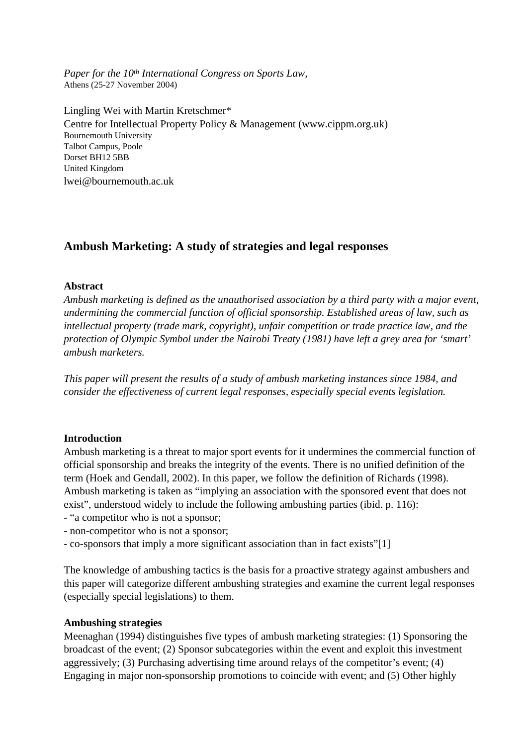*Paper for the 10th International Congress on Sports Law,* Athens (25-27 November 2004)

Lingling Wei with Martin Kretschmer\* Centre for Intellectual Property Policy & Management (www.cippm.org.uk) Bournemouth University Talbot Campus, Poole Dorset BH12 5BB United Kingdom lwei@bournemouth.ac.uk

# **Ambush Marketing: A study of strategies and legal responses**

#### **Abstract**

*Ambush marketing is defined as the unauthorised association by a third party with a major event, undermining the commercial function of official sponsorship. Established areas of law, such as intellectual property (trade mark, copyright), unfair competition or trade practice law, and the protection of Olympic Symbol under the Nairobi Treaty (1981) have left a grey area for 'smart' ambush marketers.*

*This paper will present the results of a study of ambush marketing instances since 1984, and consider the effectiveness of current legal responses, especially special events legislation.*

## **Introduction**

Ambush marketing is a threat to major sport events for it undermines the commercial function of official sponsorship and breaks the integrity of the events. There is no unified definition of the term (Hoek and Gendall, 2002). In this paper, we follow the definition of Richards (1998). Ambush marketing is taken as "implying an association with the sponsored event that does not exist", understood widely to include the following ambushing parties (ibid. p. 116):

- "a competitor who is not a sponsor;
- non-competitor who is not a sponsor;
- co-sponsors that imply a more significant association than in fact exists"[1]

The knowledge of ambushing tactics is the basis for a proactive strategy against ambushers and this paper will categorize different ambushing strategies and examine the current legal responses (especially special legislations) to them.

#### **Ambushing strategies**

Meenaghan (1994) distinguishes five types of ambush marketing strategies: (1) Sponsoring the broadcast of the event; (2) Sponsor subcategories within the event and exploit this investment aggressively; (3) Purchasing advertising time around relays of the competitor's event; (4) Engaging in major non-sponsorship promotions to coincide with event; and (5) Other highly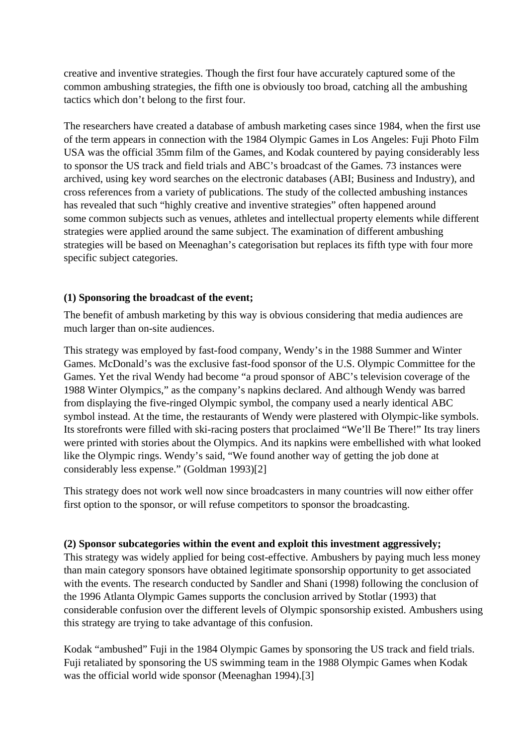creative and inventive strategies. Though the first four have accurately captured some of the common ambushing strategies, the fifth one is obviously too broad, catching all the ambushing tactics which don't belong to the first four.

The researchers have created a database of ambush marketing cases since 1984, when the first use of the term appears in connection with the 1984 Olympic Games in Los Angeles: Fuji Photo Film USA was the official 35mm film of the Games, and Kodak countered by paying considerably less to sponsor the US track and field trials and ABC's broadcast of the Games. 73 instances were archived, using key word searches on the electronic databases (ABI; Business and Industry), and cross references from a variety of publications. The study of the collected ambushing instances has revealed that such "highly creative and inventive strategies" often happened around some common subjects such as venues, athletes and intellectual property elements while different strategies were applied around the same subject. The examination of different ambushing strategies will be based on Meenaghan's categorisation but replaces its fifth type with four more specific subject categories.

# **(1) Sponsoring the broadcast of the event;**

The benefit of ambush marketing by this way is obvious considering that media audiences are much larger than on-site audiences.

This strategy was employed by fast-food company, Wendy's in the 1988 Summer and Winter Games. McDonald's was the exclusive fast-food sponsor of the U.S. Olympic Committee for the Games. Yet the rival Wendy had become "a proud sponsor of ABC's television coverage of the 1988 Winter Olympics," as the company's napkins declared. And although Wendy was barred from displaying the five-ringed Olympic symbol, the company used a nearly identical ABC symbol instead. At the time, the restaurants of Wendy were plastered with Olympic-like symbols. Its storefronts were filled with ski-racing posters that proclaimed "We'll Be There!" Its tray liners were printed with stories about the Olympics. And its napkins were embellished with what looked like the Olympic rings. Wendy's said, "We found another way of getting the job done at considerably less expense." (Goldman 1993)[2]

This strategy does not work well now since broadcasters in many countries will now either offer first option to the sponsor, or will refuse competitors to sponsor the broadcasting.

# **(2) Sponsor subcategories within the event and exploit this investment aggressively;**

This strategy was widely applied for being cost-effective. Ambushers by paying much less money than main category sponsors have obtained legitimate sponsorship opportunity to get associated with the events. The research conducted by Sandler and Shani (1998) following the conclusion of the 1996 Atlanta Olympic Games supports the conclusion arrived by Stotlar (1993) that considerable confusion over the different levels of Olympic sponsorship existed. Ambushers using this strategy are trying to take advantage of this confusion.

Kodak "ambushed" Fuji in the 1984 Olympic Games by sponsoring the US track and field trials. Fuji retaliated by sponsoring the US swimming team in the 1988 Olympic Games when Kodak was the official world wide sponsor (Meenaghan 1994).[3]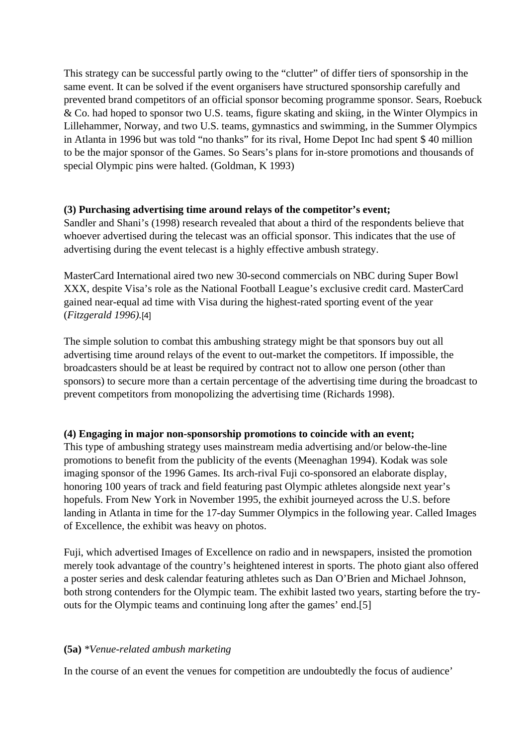This strategy can be successful partly owing to the "clutter" of differ tiers of sponsorship in the same event. It can be solved if the event organisers have structured sponsorship carefully and prevented brand competitors of an official sponsor becoming programme sponsor. Sears, Roebuck & Co. had hoped to sponsor two U.S. teams, figure skating and skiing, in the Winter Olympics in Lillehammer, Norway, and two U.S. teams, gymnastics and swimming, in the Summer Olympics in Atlanta in 1996 but was told "no thanks" for its rival, Home Depot Inc had spent \$ 40 million to be the major sponsor of the Games. So Sears's plans for in-store promotions and thousands of special Olympic pins were halted. (Goldman, K 1993)

## **(3) Purchasing advertising time around relays of the competitor's event;**

Sandler and Shani's (1998) research revealed that about a third of the respondents believe that whoever advertised during the telecast was an official sponsor. This indicates that the use of advertising during the event telecast is a highly effective ambush strategy.

MasterCard International aired two new 30-second commercials on NBC during Super Bowl XXX, despite Visa's role as the National Football League's exclusive credit card. MasterCard gained near-equal ad time with Visa during the highest-rated sporting event of the year (*Fitzgerald 1996).*[4]

The simple solution to combat this ambushing strategy might be that sponsors buy out all advertising time around relays of the event to out-market the competitors. If impossible, the broadcasters should be at least be required by contract not to allow one person (other than sponsors) to secure more than a certain percentage of the advertising time during the broadcast to prevent competitors from monopolizing the advertising time (Richards 1998).

# **(4) Engaging in major non-sponsorship promotions to coincide with an event;**

This type of ambushing strategy uses mainstream media advertising and/or below-the-line promotions to benefit from the publicity of the events (Meenaghan 1994). Kodak was sole imaging sponsor of the 1996 Games. Its arch-rival Fuji co-sponsored an elaborate display, honoring 100 years of track and field featuring past Olympic athletes alongside next year's hopefuls. From New York in November 1995, the exhibit journeyed across the U.S. before landing in Atlanta in time for the 17-day Summer Olympics in the following year. Called Images of Excellence, the exhibit was heavy on photos.

Fuji, which advertised Images of Excellence on radio and in newspapers, insisted the promotion merely took advantage of the country's heightened interest in sports. The photo giant also offered a poster series and desk calendar featuring athletes such as Dan O'Brien and Michael Johnson, both strong contenders for the Olympic team. The exhibit lasted two years, starting before the tryouts for the Olympic teams and continuing long after the games' end.[5]

## **(5a)** *\*Venue-related ambush marketing*

In the course of an event the venues for competition are undoubtedly the focus of audience'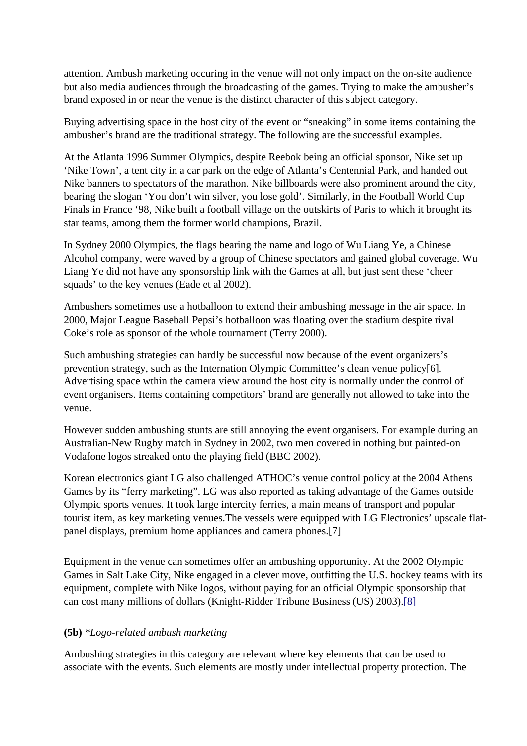attention. Ambush marketing occuring in the venue will not only impact on the on-site audience but also media audiences through the broadcasting of the games. Trying to make the ambusher's brand exposed in or near the venue is the distinct character of this subject category.

Buying advertising space in the host city of the event or "sneaking" in some items containing the ambusher's brand are the traditional strategy. The following are the successful examples.

At the Atlanta 1996 Summer Olympics, despite Reebok being an official sponsor, Nike set up 'Nike Town', a tent city in a car park on the edge of Atlanta's Centennial Park, and handed out Nike banners to spectators of the marathon. Nike billboards were also prominent around the city, bearing the slogan 'You don't win silver, you lose gold'. Similarly, in the Football World Cup Finals in France '98, Nike built a football village on the outskirts of Paris to which it brought its star teams, among them the former world champions, Brazil.

In Sydney 2000 Olympics, the flags bearing the name and logo of Wu Liang Ye, a Chinese Alcohol company, were waved by a group of Chinese spectators and gained global coverage. Wu Liang Ye did not have any sponsorship link with the Games at all, but just sent these 'cheer squads' to the key venues (Eade et al 2002).

Ambushers sometimes use a hotballoon to extend their ambushing message in the air space. In 2000, Major League Baseball Pepsi's hotballoon was floating over the stadium despite rival Coke's role as sponsor of the whole tournament (Terry 2000).

Such ambushing strategies can hardly be successful now because of the event organizers's prevention strategy, such as the Internation Olympic Committee's clean venue policy[6]. Advertising space wthin the camera view around the host city is normally under the control of event organisers. Items containing competitors' brand are generally not allowed to take into the venue.

However sudden ambushing stunts are still annoying the event organisers. For example during an Australian-New Rugby match in Sydney in 2002, two men covered in nothing but painted-on Vodafone logos streaked onto the playing field (BBC 2002).

Korean electronics giant LG also challenged ATHOC's venue control policy at the 2004 Athens Games by its "ferry marketing". LG was also reported as taking advantage of the Games outside Olympic sports venues. It took large intercity ferries, a main means of transport and popular tourist item, as key marketing venues.The vessels were equipped with LG Electronics' upscale flatpanel displays, premium home appliances and camera phones.[7]

Equipment in the venue can sometimes offer an ambushing opportunity. At the 2002 Olympic Games in Salt Lake City, Nike engaged in a clever move, outfitting the U.S. hockey teams with its equipment, complete with Nike logos, without paying for an official Olympic sponsorship that can cost many millions of dollars (Knight-Ridder Tribune Business (US) 2003).[8]

## **(5b)** *\*Logo-related ambush marketing*

Ambushing strategies in this category are relevant where key elements that can be used to associate with the events. Such elements are mostly under intellectual property protection. The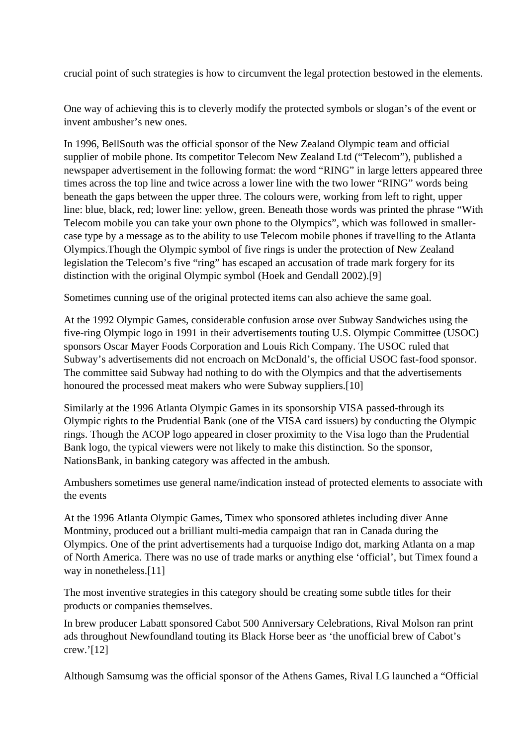crucial point of such strategies is how to circumvent the legal protection bestowed in the elements.

One way of achieving this is to cleverly modify the protected symbols or slogan's of the event or invent ambusher's new ones.

In 1996, BellSouth was the official sponsor of the New Zealand Olympic team and official supplier of mobile phone. Its competitor Telecom New Zealand Ltd ("Telecom"), published a newspaper advertisement in the following format: the word "RING" in large letters appeared three times across the top line and twice across a lower line with the two lower "RING" words being beneath the gaps between the upper three. The colours were, working from left to right, upper line: blue, black, red; lower line: yellow, green. Beneath those words was printed the phrase "With Telecom mobile you can take your own phone to the Olympics", which was followed in smallercase type by a message as to the ability to use Telecom mobile phones if travelling to the Atlanta Olympics.Though the Olympic symbol of five rings is under the protection of New Zealand legislation the Telecom's five "ring" has escaped an accusation of trade mark forgery for its distinction with the original Olympic symbol (Hoek and Gendall 2002).[9]

Sometimes cunning use of the original protected items can also achieve the same goal.

At the 1992 Olympic Games, considerable confusion arose over Subway Sandwiches using the five-ring Olympic logo in 1991 in their advertisements touting U.S. Olympic Committee (USOC) sponsors Oscar Mayer Foods Corporation and Louis Rich Company. The USOC ruled that Subway's advertisements did not encroach on McDonald's, the official USOC fast-food sponsor. The committee said Subway had nothing to do with the Olympics and that the advertisements honoured the processed meat makers who were Subway suppliers.[10]

Similarly at the 1996 Atlanta Olympic Games in its sponsorship VISA passed-through its Olympic rights to the Prudential Bank (one of the VISA card issuers) by conducting the Olympic rings. Though the ACOP logo appeared in closer proximity to the Visa logo than the Prudential Bank logo, the typical viewers were not likely to make this distinction. So the sponsor, NationsBank, in banking category was affected in the ambush.

Ambushers sometimes use general name/indication instead of protected elements to associate with the events

At the 1996 Atlanta Olympic Games, Timex who sponsored athletes including diver Anne Montminy, produced out a brilliant multi-media campaign that ran in Canada during the Olympics. One of the print advertisements had a turquoise Indigo dot, marking Atlanta on a map of North America. There was no use of trade marks or anything else 'official', but Timex found a way in nonetheless.<sup>[11]</sup>

The most inventive strategies in this category should be creating some subtle titles for their products or companies themselves.

In brew producer Labatt sponsored Cabot 500 Anniversary Celebrations, Rival Molson ran print ads throughout Newfoundland touting its Black Horse beer as 'the unofficial brew of Cabot's crew.'[12]

Although Samsumg was the official sponsor of the Athens Games, Rival LG launched a "Official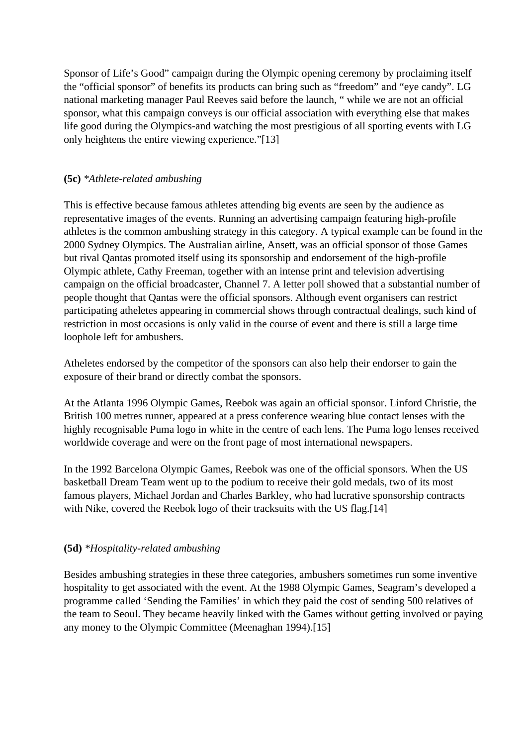Sponsor of Life's Good" campaign during the Olympic opening ceremony by proclaiming itself the "official sponsor" of benefits its products can bring such as "freedom" and "eye candy". LG national marketing manager Paul Reeves said before the launch, " while we are not an official sponsor, what this campaign conveys is our official association with everything else that makes life good during the Olympics-and watching the most prestigious of all sporting events with LG only heightens the entire viewing experience."[13]

## **(5c)** *\*Athlete-related ambushing*

This is effective because famous athletes attending big events are seen by the audience as representative images of the events. Running an advertising campaign featuring high-profile athletes is the common ambushing strategy in this category. A typical example can be found in the 2000 Sydney Olympics. The Australian airline, Ansett, was an official sponsor of those Games but rival Qantas promoted itself using its sponsorship and endorsement of the high-profile Olympic athlete, Cathy Freeman, together with an intense print and television advertising campaign on the official broadcaster, Channel 7. A letter poll showed that a substantial number of people thought that Qantas were the official sponsors. Although event organisers can restrict participating atheletes appearing in commercial shows through contractual dealings, such kind of restriction in most occasions is only valid in the course of event and there is still a large time loophole left for ambushers.

Atheletes endorsed by the competitor of the sponsors can also help their endorser to gain the exposure of their brand or directly combat the sponsors.

At the Atlanta 1996 Olympic Games, Reebok was again an official sponsor. Linford Christie, the British 100 metres runner, appeared at a press conference wearing blue contact lenses with the highly recognisable Puma logo in white in the centre of each lens. The Puma logo lenses received worldwide coverage and were on the front page of most international newspapers.

In the 1992 Barcelona Olympic Games, Reebok was one of the official sponsors. When the US basketball Dream Team went up to the podium to receive their gold medals, two of its most famous players, Michael Jordan and Charles Barkley, who had lucrative sponsorship contracts with Nike, covered the Reebok logo of their tracksuits with the US flag.[14]

## **(5d)** *\*Hospitality-related ambushing*

Besides ambushing strategies in these three categories, ambushers sometimes run some inventive hospitality to get associated with the event. At the 1988 Olympic Games, Seagram's developed a programme called 'Sending the Families' in which they paid the cost of sending 500 relatives of the team to Seoul. They became heavily linked with the Games without getting involved or paying any money to the Olympic Committee (Meenaghan 1994).[15]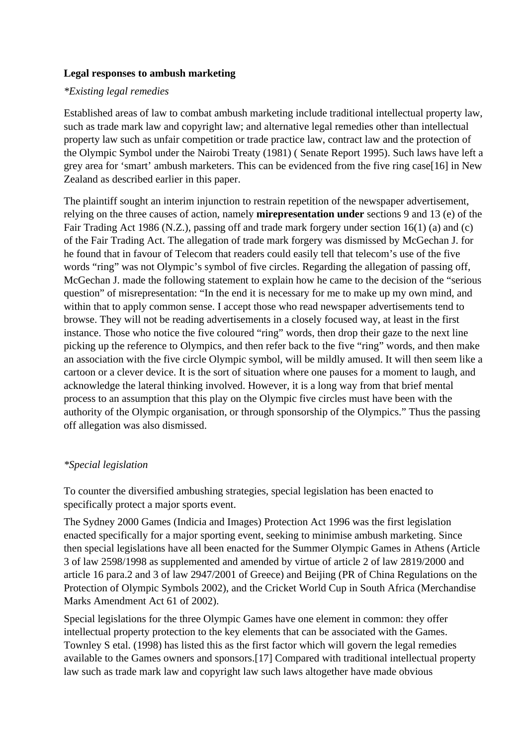### **Legal responses to ambush marketing**

### *\*Existing legal remedies*

Established areas of law to combat ambush marketing include traditional intellectual property law, such as trade mark law and copyright law; and alternative legal remedies other than intellectual property law such as unfair competition or trade practice law, contract law and the protection of the Olympic Symbol under the Nairobi Treaty (1981) ( Senate Report 1995). Such laws have left a grey area for 'smart' ambush marketers. This can be evidenced from the five ring case[16] in New Zealand as described earlier in this paper.

The plaintiff sought an interim injunction to restrain repetition of the newspaper advertisement, relying on the three causes of action, namely **mirepresentation under** sections 9 and 13 (e) of the Fair Trading Act 1986 (N.Z.), passing off and trade mark forgery under section 16(1) (a) and (c) of the Fair Trading Act. The allegation of trade mark forgery was dismissed by McGechan J. for he found that in favour of Telecom that readers could easily tell that telecom's use of the five words "ring" was not Olympic's symbol of five circles. Regarding the allegation of passing off, McGechan J. made the following statement to explain how he came to the decision of the "serious question" of misrepresentation: "In the end it is necessary for me to make up my own mind, and within that to apply common sense. I accept those who read newspaper advertisements tend to browse. They will not be reading advertisements in a closely focused way, at least in the first instance. Those who notice the five coloured "ring" words, then drop their gaze to the next line picking up the reference to Olympics, and then refer back to the five "ring" words, and then make an association with the five circle Olympic symbol, will be mildly amused. It will then seem like a cartoon or a clever device. It is the sort of situation where one pauses for a moment to laugh, and acknowledge the lateral thinking involved. However, it is a long way from that brief mental process to an assumption that this play on the Olympic five circles must have been with the authority of the Olympic organisation, or through sponsorship of the Olympics." Thus the passing off allegation was also dismissed.

#### *\*Special legislation*

To counter the diversified ambushing strategies, special legislation has been enacted to specifically protect a major sports event.

The Sydney 2000 Games (Indicia and Images) Protection Act 1996 was the first legislation enacted specifically for a major sporting event, seeking to minimise ambush marketing. Since then special legislations have all been enacted for the Summer Olympic Games in Athens (Article 3 of law 2598/1998 as supplemented and amended by virtue of article 2 of law 2819/2000 and article 16 para.2 and 3 of law 2947/2001 of Greece) and Beijing (PR of China Regulations on the Protection of Olympic Symbols 2002), and the Cricket World Cup in South Africa (Merchandise Marks Amendment Act 61 of 2002).

Special legislations for the three Olympic Games have one element in common: they offer intellectual property protection to the key elements that can be associated with the Games. Townley S etal. (1998) has listed this as the first factor which will govern the legal remedies available to the Games owners and sponsors.[17] Compared with traditional intellectual property law such as trade mark law and copyright law such laws altogether have made obvious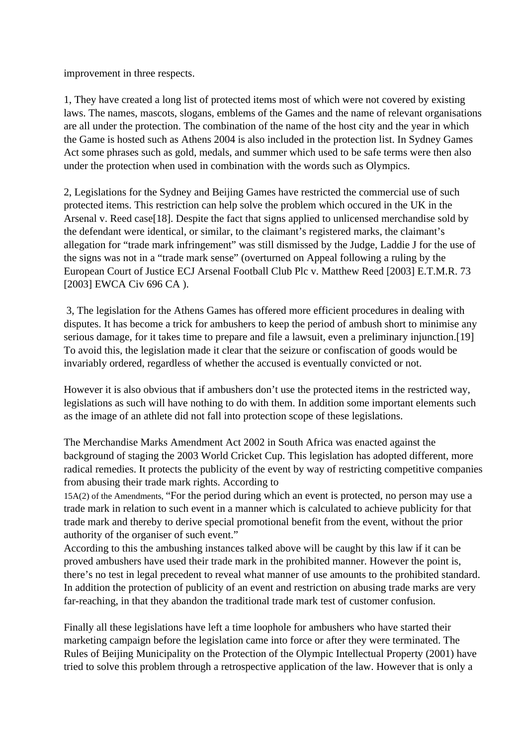improvement in three respects.

1, They have created a long list of protected items most of which were not covered by existing laws. The names, mascots, slogans, emblems of the Games and the name of relevant organisations are all under the protection. The combination of the name of the host city and the year in which the Game is hosted such as Athens 2004 is also included in the protection list. In Sydney Games Act some phrases such as gold, medals, and summer which used to be safe terms were then also under the protection when used in combination with the words such as Olympics.

2, Legislations for the Sydney and Beijing Games have restricted the commercial use of such protected items. This restriction can help solve the problem which occured in the UK in the Arsenal v. Reed case [18]. Despite the fact that signs applied to unlicensed merchandise sold by the defendant were identical, or similar, to the claimant's registered marks, the claimant's allegation for "trade mark infringement" was still dismissed by the Judge, Laddie J for the use of the signs was not in a "trade mark sense" (overturned on Appeal following a ruling by the European Court of Justice ECJ Arsenal Football Club Plc v. Matthew Reed [2003] E.T.M.R. 73 [2003] EWCA Civ 696 CA ).

 3, The legislation for the Athens Games has offered more efficient procedures in dealing with disputes. It has become a trick for ambushers to keep the period of ambush short to minimise any serious damage, for it takes time to prepare and file a lawsuit, even a preliminary injunction.[19] To avoid this, the legislation made it clear that the seizure or confiscation of goods would be invariably ordered, regardless of whether the accused is eventually convicted or not.

However it is also obvious that if ambushers don't use the protected items in the restricted way, legislations as such will have nothing to do with them. In addition some important elements such as the image of an athlete did not fall into protection scope of these legislations.

The Merchandise Marks Amendment Act 2002 in South Africa was enacted against the background of staging the 2003 World Cricket Cup. This legislation has adopted different, more radical remedies. It protects the publicity of the event by way of restricting competitive companies from abusing their trade mark rights. According to

15A(2) of the Amendments, "For the period during which an event is protected, no person may use a trade mark in relation to such event in a manner which is calculated to achieve publicity for that trade mark and thereby to derive special promotional benefit from the event, without the prior authority of the organiser of such event."

According to this the ambushing instances talked above will be caught by this law if it can be proved ambushers have used their trade mark in the prohibited manner. However the point is, there's no test in legal precedent to reveal what manner of use amounts to the prohibited standard. In addition the protection of publicity of an event and restriction on abusing trade marks are very far-reaching, in that they abandon the traditional trade mark test of customer confusion.

Finally all these legislations have left a time loophole for ambushers who have started their marketing campaign before the legislation came into force or after they were terminated. The Rules of Beijing Municipality on the Protection of the Olympic Intellectual Property (2001) have tried to solve this problem through a retrospective application of the law. However that is only a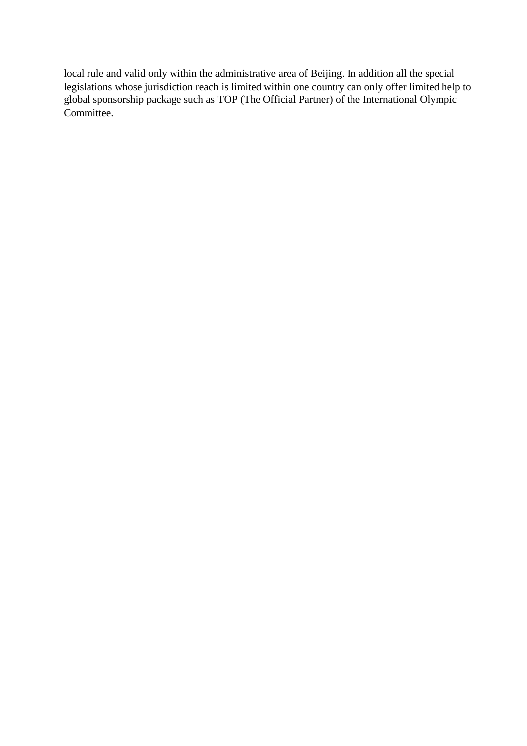local rule and valid only within the administrative area of Beijing. In addition all the special legislations whose jurisdiction reach is limited within one country can only offer limited help to global sponsorship package such as TOP (The Official Partner) of the International Olympic Committee.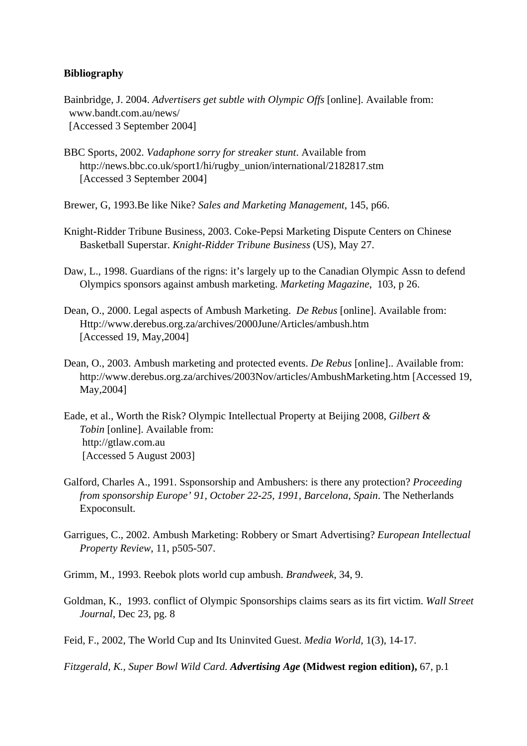#### **Bibliography**

- Bainbridge, J. 2004. *Advertisers get subtle with Olympic Offs* [online]. Available from: www.bandt.com.au/news/ [Accessed 3 September 2004]
- BBC Sports, 2002. *Vadaphone sorry for streaker stunt*. Available from http://news.bbc.co.uk/sport1/hi/rugby\_union/international/2182817.stm [Accessed 3 September 2004]
- Brewer, G, 1993.Be like Nike? *Sales and Marketing Management*, 145, p66.
- Knight-Ridder Tribune Business, 2003. Coke-Pepsi Marketing Dispute Centers on Chinese Basketball Superstar. *Knight-Ridder Tribune Business* (US), May 27.
- Daw, L., 1998. Guardians of the rigns: it's largely up to the Canadian Olympic Assn to defend Olympics sponsors against ambush marketing. *Marketing Magazine*, 103, p 26.
- Dean, O., 2000. Legal aspects of Ambush Marketing. *De Rebus* [online]. Available from: Http://www.derebus.org.za/archives/2000June/Articles/ambush.htm [Accessed 19, May,2004]
- Dean, O., 2003. Ambush marketing and protected events. *De Rebus* [online].. Available from: http://www.derebus.org.za/archives/2003Nov/articles/AmbushMarketing.htm [Accessed 19, May,2004]
- Eade, et al., Worth the Risk? Olympic Intellectual Property at Beijing 2008, *Gilbert & Tobin* [online]. Available from: http://gtlaw.com.au [Accessed 5 August 2003]
- Galford, Charles A., 1991. Ssponsorship and Ambushers: is there any protection? *Proceeding from sponsorship Europe' 91*, *October 22-25, 1991, Barcelona*, *Spain*. The Netherlands Expoconsult.
- Garrigues, C., 2002. Ambush Marketing: Robbery or Smart Advertising? *European Intellectual Property Review*, 11, p505-507.

Grimm, M., 1993. Reebok plots world cup ambush. *Brandweek*, 34, 9.

- Goldman, K., 1993. conflict of Olympic Sponsorships claims sears as its firt victim. *Wall Street Journal*, Dec 23, pg. 8
- Feid, F., 2002, The World Cup and Its Uninvited Guest. *Media World*, 1(3), 14-17.

*Fitzgerald, K., Super Bowl Wild Card. Advertising Age* **(Midwest region edition),** 67, p.1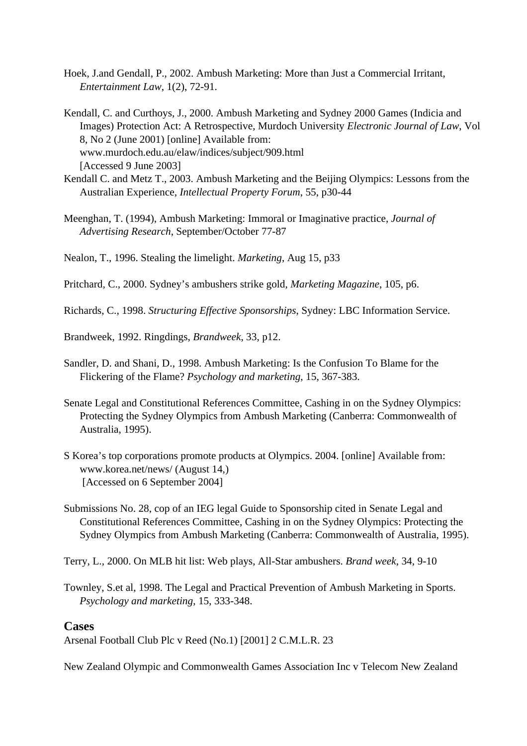- Hoek, J.and Gendall, P., 2002. Ambush Marketing: More than Just a Commercial Irritant, *Entertainment Law*, 1(2), 72-91.
- Kendall, C. and Curthoys, J., 2000. Ambush Marketing and Sydney 2000 Games (Indicia and Images) Protection Act: A Retrospective, Murdoch University *Electronic Journal of Law*, Vol 8, No 2 (June 2001) [online] Available from: www.murdoch.edu.au/elaw/indices/subject/909.html [Accessed 9 June 2003]
- Kendall C. and Metz T., 2003. Ambush Marketing and the Beijing Olympics: Lessons from the Australian Experience, *Intellectual Property Forum*, 55, p30-44
- Meenghan, T. (1994), Ambush Marketing: Immoral or Imaginative practice, *Journal of Advertising Research*, September/October 77-87

Nealon, T., 1996. Stealing the limelight. *Marketing*, Aug 15, p33

Pritchard, C., 2000. Sydney's ambushers strike gold, *Marketing Magazine*, 105, p6.

Richards, C., 1998. *Structuring Effective Sponsorships*, Sydney: LBC Information Service.

Brandweek, 1992. Ringdings, *Brandweek*, 33, p12.

- Sandler, D. and Shani, D., 1998. Ambush Marketing: Is the Confusion To Blame for the Flickering of the Flame? *Psychology and marketing*, 15, 367-383.
- Senate Legal and Constitutional References Committee, Cashing in on the Sydney Olympics: Protecting the Sydney Olympics from Ambush Marketing (Canberra: Commonwealth of Australia, 1995).
- S Korea's top corporations promote products at Olympics. 2004. [online] Available from: www.korea.net/news/ (August 14,) [Accessed on 6 September 2004]
- Submissions No. 28, cop of an IEG legal Guide to Sponsorship cited in Senate Legal and Constitutional References Committee, Cashing in on the Sydney Olympics: Protecting the Sydney Olympics from Ambush Marketing (Canberra: Commonwealth of Australia, 1995).
- Terry, L., 2000. On MLB hit list: Web plays, All-Star ambushers. *Brand week*, 34, 9-10
- Townley, S.et al, 1998. The Legal and Practical Prevention of Ambush Marketing in Sports. *Psychology and marketing*, 15, 333-348.

## **Cases**

Arsenal Football Club Plc v Reed (No.1) [2001] 2 C.M.L.R. 23

New Zealand Olympic and Commonwealth Games Association Inc v Telecom New Zealand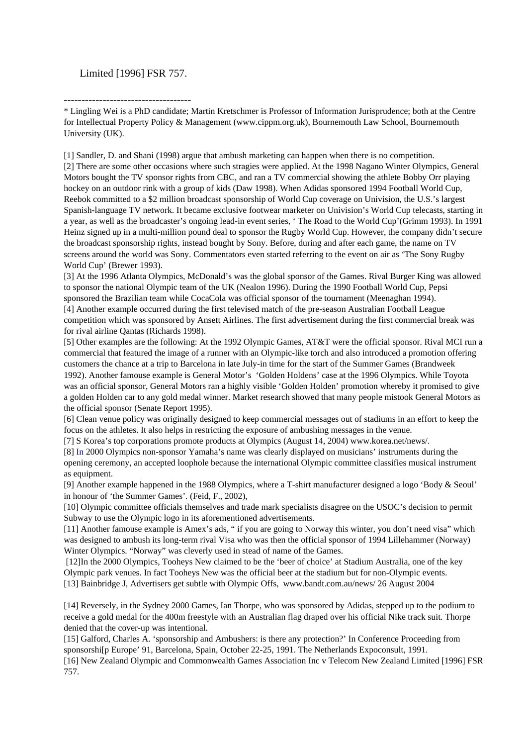#### Limited [1996] FSR 757.

------------------------------------ \* Lingling Wei is a PhD candidate; Martin Kretschmer is Professor of Information Jurisprudence; both at the Centre for Intellectual Property Policy & Management (www.cippm.org.uk), Bournemouth Law School, Bournemouth University (UK).

[1] Sandler, D. and Shani (1998) argue that ambush marketing can happen when there is no competition.

[2] There are some other occasions where such stragies were applied. At the 1998 Nagano Winter Olympics, General Motors bought the TV sponsor rights from CBC, and ran a TV commercial showing the athlete Bobby Orr playing hockey on an outdoor rink with a group of kids (Daw 1998). When Adidas sponsored 1994 Football World Cup, Reebok committed to a \$2 million broadcast sponsorship of World Cup coverage on Univision, the U.S.'s largest Spanish-language TV network. It became exclusive footwear marketer on Univision's World Cup telecasts, starting in a year, as well as the broadcaster's ongoing lead-in event series, ' The Road to the World Cup'(Grimm 1993). In 1991 Heinz signed up in a multi-million pound deal to sponsor the Rugby World Cup. However, the company didn't secure the broadcast sponsorship rights, instead bought by Sony. Before, during and after each game, the name on TV screens around the world was Sony. Commentators even started referring to the event on air as 'The Sony Rugby World Cup' (Brewer 1993).

[3] At the 1996 Atlanta Olympics, McDonald's was the global sponsor of the Games. Rival Burger King was allowed to sponsor the national Olympic team of the UK (Nealon 1996). During the 1990 Football World Cup, Pepsi sponsored the Brazilian team while CocaCola was official sponsor of the tournament (Meenaghan 1994). [4] Another example occurred during the first televised match of the pre-season Australian Football League competition which was sponsored by Ansett Airlines. The first advertisement during the first commercial break was for rival airline Qantas (Richards 1998).

[5] Other examples are the following: At the 1992 Olympic Games, AT&T were the official sponsor. Rival MCI run a commercial that featured the image of a runner with an Olympic-like torch and also introduced a promotion offering customers the chance at a trip to Barcelona in late July-in time for the start of the Summer Games (Brandweek 1992). Another famouse example is General Motor's 'Golden Holdens' case at the 1996 Olympics. While Toyota was an official sponsor, General Motors ran a highly visible 'Golden Holden' promotion whereby it promised to give a golden Holden car to any gold medal winner. Market research showed that many people mistook General Motors as the official sponsor (Senate Report 1995).

[6] Clean venue policy was originally designed to keep commercial messages out of stadiums in an effort to keep the focus on the athletes. It also helps in restricting the exposure of ambushing messages in the venue.

[7] S Korea's top corporations promote products at Olympics (August 14, 2004) www.korea.net/news/.

[8] In 2000 Olympics non-sponsor Yamaha's name was clearly displayed on musicians' instruments during the opening ceremony, an accepted loophole because the international Olympic committee classifies musical instrument as equipment.

[9] Another example happened in the 1988 Olympics, where a T-shirt manufacturer designed a logo 'Body & Seoul' in honour of 'the Summer Games'. (Feid, F., 2002),

[10] Olympic committee officials themselves and trade mark specialists disagree on the USOC's decision to permit Subway to use the Olympic logo in its aforementioned advertisements.

[11] Another famouse example is Amex's ads, " if you are going to Norway this winter, you don't need visa" which was designed to ambush its long-term rival Visa who was then the official sponsor of 1994 Lillehammer (Norway) Winter Olympics. "Norway" was cleverly used in stead of name of the Games.

 [12]In the 2000 Olympics, Tooheys New claimed to be the 'beer of choice' at Stadium Australia, one of the key Olympic park venues. In fact Tooheys New was the official beer at the stadium but for non-Olympic events. [13] Bainbridge J, Advertisers get subtle with Olympic Offs, www.bandt.com.au/news/ 26 August 2004

[14] Reversely, in the Sydney 2000 Games, Ian Thorpe, who was sponsored by Adidas, stepped up to the podium to receive a gold medal for the 400m freestyle with an Australian flag draped over his official Nike track suit. Thorpe denied that the cover-up was intentional.

[15] Galford, Charles A. 'sponsorship and Ambushers: is there any protection?' In Conference Proceeding from sponsorshi[p Europe' 91, Barcelona, Spain, October 22-25, 1991. The Netherlands Expoconsult, 1991. [16] New Zealand Olympic and Commonwealth Games Association Inc v Telecom New Zealand Limited [1996] FSR 757.